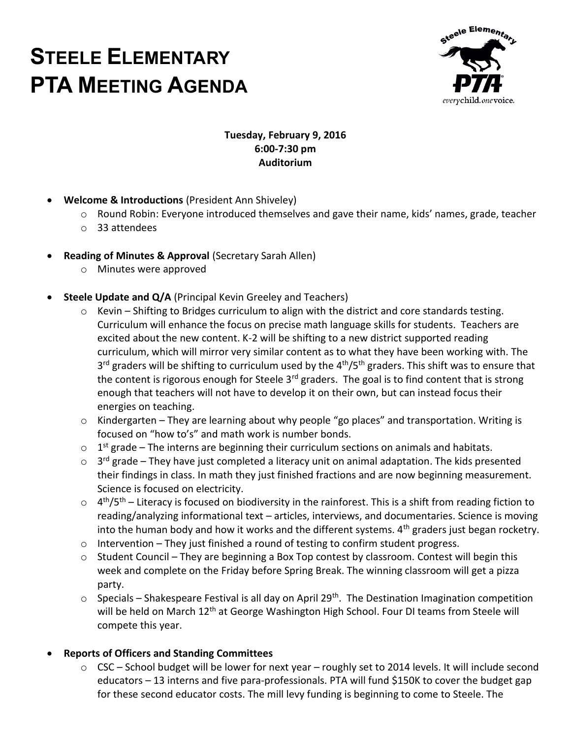# **STEELE ELEMENTARY PTA MEETING AGENDA**



#### **Tuesday, February 9, 2016 6:00-7:30 pm Auditorium**

- **Welcome & Introductions** (President Ann Shiveley)
	- o Round Robin: Everyone introduced themselves and gave their name, kids' names, grade, teacher
	- o 33 attendees
- **Reading of Minutes & Approval** (Secretary Sarah Allen)
	- o Minutes were approved
- **Steele Update and Q/A** (Principal Kevin Greeley and Teachers)
	- $\circ$  Kevin Shifting to Bridges curriculum to align with the district and core standards testing. Curriculum will enhance the focus on precise math language skills for students. Teachers are excited about the new content. K-2 will be shifting to a new district supported reading curriculum, which will mirror very similar content as to what they have been working with. The 3<sup>rd</sup> graders will be shifting to curriculum used by the 4<sup>th</sup>/5<sup>th</sup> graders. This shift was to ensure that the content is rigorous enough for Steele 3<sup>rd</sup> graders. The goal is to find content that is strong enough that teachers will not have to develop it on their own, but can instead focus their energies on teaching.
	- o Kindergarten They are learning about why people "go places" and transportation. Writing is focused on "how to's" and math work is number bonds.
	- $\circ$  1<sup>st</sup> grade The interns are beginning their curriculum sections on animals and habitats.
	- $\circ$  3<sup>rd</sup> grade They have just completed a literacy unit on animal adaptation. The kids presented their findings in class. In math they just finished fractions and are now beginning measurement. Science is focused on electricity.
	- $\circ$  4<sup>th</sup>/5<sup>th</sup> Literacy is focused on biodiversity in the rainforest. This is a shift from reading fiction to reading/analyzing informational text – articles, interviews, and documentaries. Science is moving into the human body and how it works and the different systems.  $4<sup>th</sup>$  graders just began rocketry.
	- $\circ$  Intervention They just finished a round of testing to confirm student progress.
	- $\circ$  Student Council They are beginning a Box Top contest by classroom. Contest will begin this week and complete on the Friday before Spring Break. The winning classroom will get a pizza party.
	- $\circ$  Specials Shakespeare Festival is all day on April 29<sup>th</sup>. The Destination Imagination competition will be held on March 12<sup>th</sup> at George Washington High School. Four DI teams from Steele will compete this year.

### **Reports of Officers and Standing Committees**

o CSC – School budget will be lower for next year – roughly set to 2014 levels. It will include second educators – 13 interns and five para-professionals. PTA will fund \$150K to cover the budget gap for these second educator costs. The mill levy funding is beginning to come to Steele. The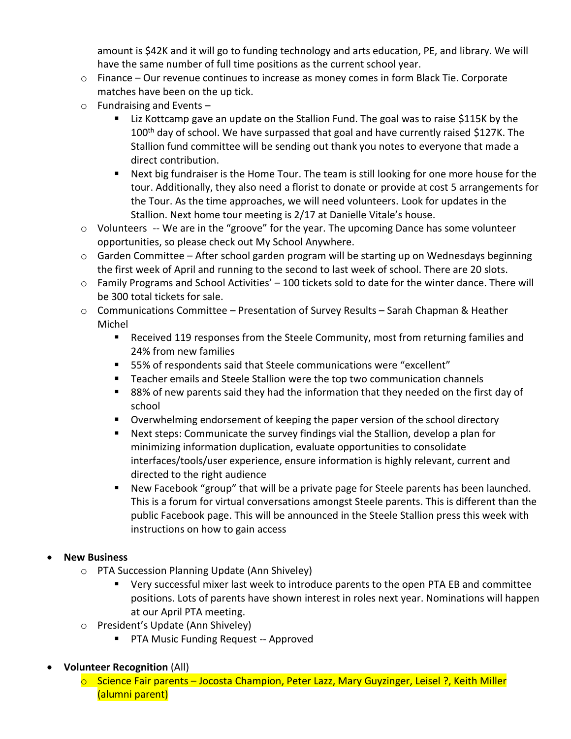amount is \$42K and it will go to funding technology and arts education, PE, and library. We will have the same number of full time positions as the current school year.

- o Finance Our revenue continues to increase as money comes in form Black Tie. Corporate matches have been on the up tick.
- o Fundraising and Events
	- Liz Kottcamp gave an update on the Stallion Fund. The goal was to raise \$115K by the 100<sup>th</sup> day of school. We have surpassed that goal and have currently raised \$127K. The Stallion fund committee will be sending out thank you notes to everyone that made a direct contribution.
	- Next big fundraiser is the Home Tour. The team is still looking for one more house for the tour. Additionally, they also need a florist to donate or provide at cost 5 arrangements for the Tour. As the time approaches, we will need volunteers. Look for updates in the Stallion. Next home tour meeting is 2/17 at Danielle Vitale's house.
- $\circ$  Volunteers -- We are in the "groove" for the year. The upcoming Dance has some volunteer opportunities, so please check out My School Anywhere.
- o Garden Committee After school garden program will be starting up on Wednesdays beginning the first week of April and running to the second to last week of school. There are 20 slots.
- $\circ$  Family Programs and School Activities' 100 tickets sold to date for the winter dance. There will be 300 total tickets for sale.
- $\circ$  Communications Committee Presentation of Survey Results Sarah Chapman & Heather Michel
	- Received 119 responses from the Steele Community, most from returning families and 24% from new families
	- 55% of respondents said that Steele communications were "excellent"
	- Teacher emails and Steele Stallion were the top two communication channels
	- 88% of new parents said they had the information that they needed on the first day of school
	- **Diamage 1** Overwhelming endorsement of keeping the paper version of the school directory
	- Next steps: Communicate the survey findings vial the Stallion, develop a plan for minimizing information duplication, evaluate opportunities to consolidate interfaces/tools/user experience, ensure information is highly relevant, current and directed to the right audience
	- New Facebook "group" that will be a private page for Steele parents has been launched. This is a forum for virtual conversations amongst Steele parents. This is different than the public Facebook page. This will be announced in the Steele Stallion press this week with instructions on how to gain access

### **New Business**

- o PTA Succession Planning Update (Ann Shiveley)
	- Very successful mixer last week to introduce parents to the open PTA EB and committee positions. Lots of parents have shown interest in roles next year. Nominations will happen at our April PTA meeting.
- o President's Update (Ann Shiveley)
	- **PTA Music Funding Request -- Approved**
- **Volunteer Recognition** (All)
	- o Science Fair parents Jocosta Champion, Peter Lazz, Mary Guyzinger, Leisel ?, Keith Miller (alumni parent)